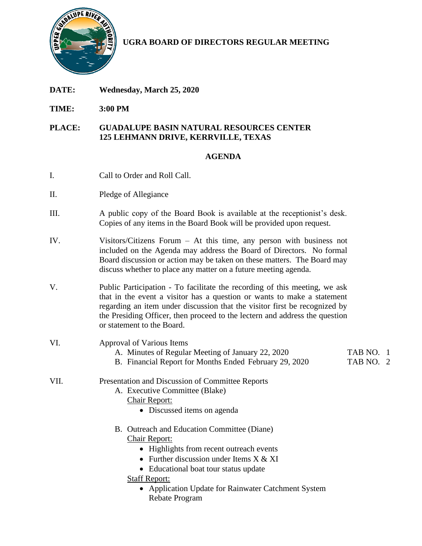

**UGRA BOARD OF DIRECTORS REGULAR MEETING**

- **DATE: Wednesday, March 25, 2020**
- **TIME: 3:00 PM**

## **PLACE: GUADALUPE BASIN NATURAL RESOURCES CENTER 125 LEHMANN DRIVE, KERRVILLE, TEXAS**

## **AGENDA**

- I. Call to Order and Roll Call.
- II. Pledge of Allegiance
- III. A public copy of the Board Book is available at the receptionist's desk. Copies of any items in the Board Book will be provided upon request.
- IV. Visitors/Citizens Forum At this time, any person with business not included on the Agenda may address the Board of Directors. No formal Board discussion or action may be taken on these matters. The Board may discuss whether to place any matter on a future meeting agenda.
- V. Public Participation To facilitate the recording of this meeting, we ask that in the event a visitor has a question or wants to make a statement regarding an item under discussion that the visitor first be recognized by the Presiding Officer, then proceed to the lectern and address the question or statement to the Board.

| VI.  | Approval of Various Items                              |           |
|------|--------------------------------------------------------|-----------|
|      | A. Minutes of Regular Meeting of January 22, 2020      | TAB NO. 1 |
|      | B. Financial Report for Months Ended February 29, 2020 | TAB NO. 2 |
| VII. | Presentation and Discussion of Committee Reports       |           |
|      | A. Executive Committee (Blake)                         |           |
|      | Chair Report:                                          |           |
|      | • Discussed items on agenda                            |           |
|      | B. Outreach and Education Committee (Diane)            |           |
|      | Chair Report:                                          |           |
|      | • Highlights from recent outreach events               |           |
|      | • Further discussion under Items $X & XI$              |           |
|      | • Educational boat tour status update                  |           |
|      | <b>Staff Report:</b>                                   |           |

• Application Update for Rainwater Catchment System Rebate Program